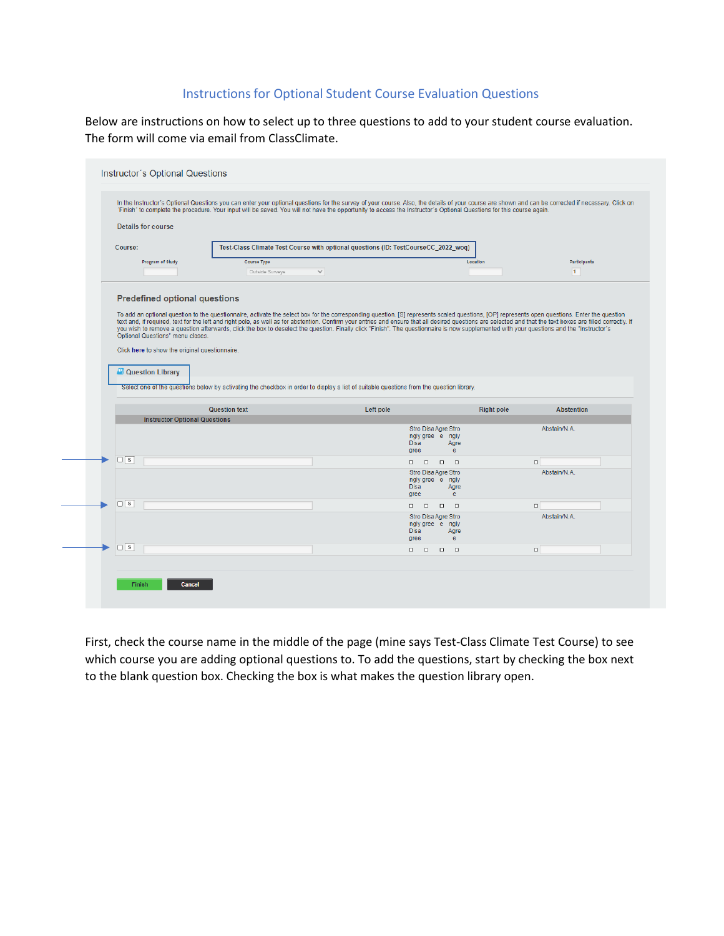# Instructions for Optional Student Course Evaluation Questions

Below are instructions on how to select up to three questions to add to your student course evaluation. The form will come via email from ClassClimate.

| <b>Details for course</b>                                                                                                                                           |                                                                                    | Finish' to complete the procedure. Your input will be saved. You will not have the opportunity to access the Instructor's Optional Questions for this course again.                                                                                                                                                                                                                                                                               |                                                                                                                                                                                                                                                                                  |  |  |
|---------------------------------------------------------------------------------------------------------------------------------------------------------------------|------------------------------------------------------------------------------------|---------------------------------------------------------------------------------------------------------------------------------------------------------------------------------------------------------------------------------------------------------------------------------------------------------------------------------------------------------------------------------------------------------------------------------------------------|----------------------------------------------------------------------------------------------------------------------------------------------------------------------------------------------------------------------------------------------------------------------------------|--|--|
|                                                                                                                                                                     |                                                                                    |                                                                                                                                                                                                                                                                                                                                                                                                                                                   |                                                                                                                                                                                                                                                                                  |  |  |
| Course:                                                                                                                                                             | Test-Class Climate Test Course with optional questions (ID: TestCourseCC_2022_woq) |                                                                                                                                                                                                                                                                                                                                                                                                                                                   |                                                                                                                                                                                                                                                                                  |  |  |
| Program of Study                                                                                                                                                    | Course Type                                                                        |                                                                                                                                                                                                                                                                                                                                                                                                                                                   | Participants<br>Location                                                                                                                                                                                                                                                         |  |  |
|                                                                                                                                                                     | Outside Surveys<br>$\checkmark$                                                    |                                                                                                                                                                                                                                                                                                                                                                                                                                                   | 1                                                                                                                                                                                                                                                                                |  |  |
| Optional Questions" menu closes.<br>Click here to show the original questionnaire.<br><b>C</b> Question Library<br><b>Instructor Optional Questions</b><br>$\Box$ s | <b>Question text</b>                                                               | you wish to remove a question afterwards, click the box to deselect the question. Finally click "Finish". The questionnaire is now supplemented with your questions and the "Instructor's<br>Select one of the questions below by activating the checkbox in order to display a list of suitable questions from the question library.<br>Left pole<br>Stro Disa Agre Stro<br>ngly gree e ngly<br><b>Disa</b><br>Agre<br>$\mathbf{e}$<br>aree<br>. | text and, if required, text for the left and right pole, as well as for abstention. Confirm your entries and ensure that all desired questions are selected and that the text boxes are filled correctly. If<br><b>Right pole</b><br><b>Abstention</b><br>Abstain/N.A.<br>$\Box$ |  |  |
|                                                                                                                                                                     |                                                                                    | Stro Disa Agre Stro<br>ngly gree e ngly                                                                                                                                                                                                                                                                                                                                                                                                           | Abstain/N.A.                                                                                                                                                                                                                                                                     |  |  |
|                                                                                                                                                                     |                                                                                    | <b>Disa</b><br>Agre<br>e.<br>gree                                                                                                                                                                                                                                                                                                                                                                                                                 |                                                                                                                                                                                                                                                                                  |  |  |
| $\Box$ s                                                                                                                                                            |                                                                                    | $\Box$<br>$\Box$<br>$\Box$<br>$\Box$                                                                                                                                                                                                                                                                                                                                                                                                              | $\Box$                                                                                                                                                                                                                                                                           |  |  |
|                                                                                                                                                                     |                                                                                    | Stro Disa Agre Stro<br>ngly gree e ngly<br><b>Disa</b><br>Agre<br>e<br>gree                                                                                                                                                                                                                                                                                                                                                                       | Abstain/N.A.                                                                                                                                                                                                                                                                     |  |  |

First, check the course name in the middle of the page (mine says Test-Class Climate Test Course) to see which course you are adding optional questions to. To add the questions, start by checking the box next to the blank question box. Checking the box is what makes the question library open.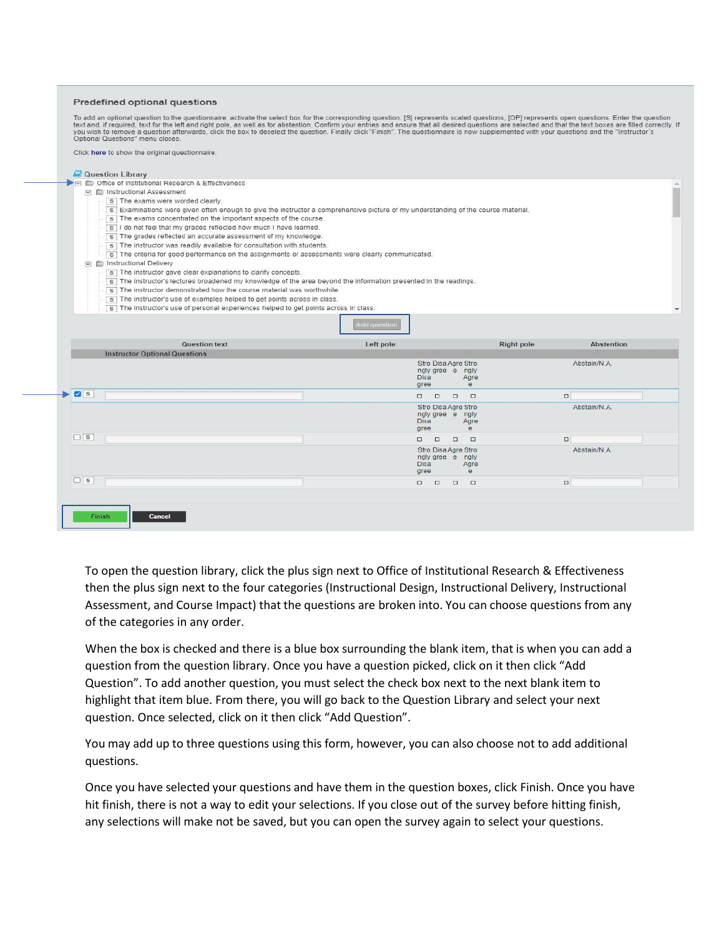#### Predefined optional questions

To add an optional question to the questionnaire, activate the select box for the corresponding question. [S] represents scaled questions, [OP] represents open questions. Enter the question text and, if required, text for

Click here to show the original questionnaire

| s Examinations were given often enough to give the instructor a comprehensive picture of my understanding of the course material.<br>s The exams concentrated on the important aspects of the course. |                                                                                                                    |                     |                                                                                           |                   |                   |  |  |  |
|-------------------------------------------------------------------------------------------------------------------------------------------------------------------------------------------------------|--------------------------------------------------------------------------------------------------------------------|---------------------|-------------------------------------------------------------------------------------------|-------------------|-------------------|--|--|--|
| s I do not feel that my grades reflected how much I have learned.                                                                                                                                     |                                                                                                                    |                     |                                                                                           |                   |                   |  |  |  |
|                                                                                                                                                                                                       | s The grades reflected an accurate assessment of my knowledge.                                                     |                     |                                                                                           |                   |                   |  |  |  |
|                                                                                                                                                                                                       | s The instructor was readily available for consultation with students.                                             |                     |                                                                                           |                   |                   |  |  |  |
|                                                                                                                                                                                                       | s The criteria for good performance on the assignments or assessments were clearly communicated.                   |                     |                                                                                           |                   |                   |  |  |  |
| in E Instructional Delivery                                                                                                                                                                           |                                                                                                                    |                     |                                                                                           |                   |                   |  |  |  |
|                                                                                                                                                                                                       | s The instructor gave clear explanations to clarify concepts.                                                      |                     |                                                                                           |                   |                   |  |  |  |
|                                                                                                                                                                                                       | s   The instructor's lectures broadened my knowledge of the area beyond the information presented in the readings. |                     |                                                                                           |                   |                   |  |  |  |
| s The instructor demonstrated how the course material was worthwhile.<br>s The instructor's use of examples helped to get points across in class.                                                     |                                                                                                                    |                     |                                                                                           |                   |                   |  |  |  |
|                                                                                                                                                                                                       | s The instructor's use of personal experiences helped to get points across in class.                               |                     |                                                                                           |                   |                   |  |  |  |
|                                                                                                                                                                                                       |                                                                                                                    |                     |                                                                                           |                   |                   |  |  |  |
|                                                                                                                                                                                                       |                                                                                                                    | <b>Add question</b> |                                                                                           |                   |                   |  |  |  |
|                                                                                                                                                                                                       |                                                                                                                    |                     |                                                                                           |                   |                   |  |  |  |
|                                                                                                                                                                                                       | Question text                                                                                                      | Left pole           |                                                                                           | <b>Right pole</b> | <b>Abstention</b> |  |  |  |
| <b>Instructor Optional Questions</b>                                                                                                                                                                  |                                                                                                                    |                     |                                                                                           |                   |                   |  |  |  |
|                                                                                                                                                                                                       |                                                                                                                    |                     | Stro Disa Agre Stro                                                                       |                   |                   |  |  |  |
|                                                                                                                                                                                                       |                                                                                                                    |                     |                                                                                           |                   | Abstain/N.A.      |  |  |  |
|                                                                                                                                                                                                       |                                                                                                                    |                     | ngly gree e ngly                                                                          |                   |                   |  |  |  |
|                                                                                                                                                                                                       |                                                                                                                    |                     | Disa<br>Agre<br>e<br>gree                                                                 |                   |                   |  |  |  |
| <b>Z</b> s                                                                                                                                                                                            |                                                                                                                    |                     | $\begin{array}{ccccccccccccccccc} \Box & \Box & \Box & \Box & \Box \end{array}$<br>$\Box$ | $\Box$            |                   |  |  |  |
|                                                                                                                                                                                                       |                                                                                                                    |                     | Stro Disa Agre Stro                                                                       |                   | Abstain/N.A.      |  |  |  |
|                                                                                                                                                                                                       |                                                                                                                    |                     | ngly gree e ngly                                                                          |                   |                   |  |  |  |
|                                                                                                                                                                                                       |                                                                                                                    |                     | Disa<br>Agre<br>e                                                                         |                   |                   |  |  |  |
| $\Box$ s                                                                                                                                                                                              |                                                                                                                    |                     | gree<br>$\Box$                                                                            |                   |                   |  |  |  |
|                                                                                                                                                                                                       |                                                                                                                    |                     | $\Box \qquad \Box$<br>$\Box$                                                              | $\Box$            |                   |  |  |  |
|                                                                                                                                                                                                       |                                                                                                                    |                     | Stro Disa Agre Stro<br>ngly gree e ngly                                                   |                   | Abstain/N.A.      |  |  |  |
|                                                                                                                                                                                                       |                                                                                                                    |                     | Disa<br>Agre                                                                              |                   |                   |  |  |  |
| $\Box$ s                                                                                                                                                                                              |                                                                                                                    |                     | gree<br>e<br>.                                                                            | $\Box$            |                   |  |  |  |

To open the question library, click the plus sign next to Office of Institutional Research & Effectiveness then the plus sign next to the four categories (Instructional Design, Instructional Delivery, Instructional Assessment, and Course Impact) that the questions are broken into. You can choose questions from any of the categories in any order.

When the box is checked and there is a blue box surrounding the blank item, that is when you can add a question from the question library. Once you have a question picked, click on it then click "Add Question". To add another question, you must select the check box next to the next blank item to highlight that item blue. From there, you will go back to the Question Library and select your next question. Once selected, click on it then click "Add Question".

You may add up to three questions using this form, however, you can also choose not to add additional questions.

Once you have selected your questions and have them in the question boxes, click Finish. Once you have hit finish, there is not a way to edit your selections. If you close out of the survey before hitting finish, any selections will make not be saved, but you can open the survey again to select your questions.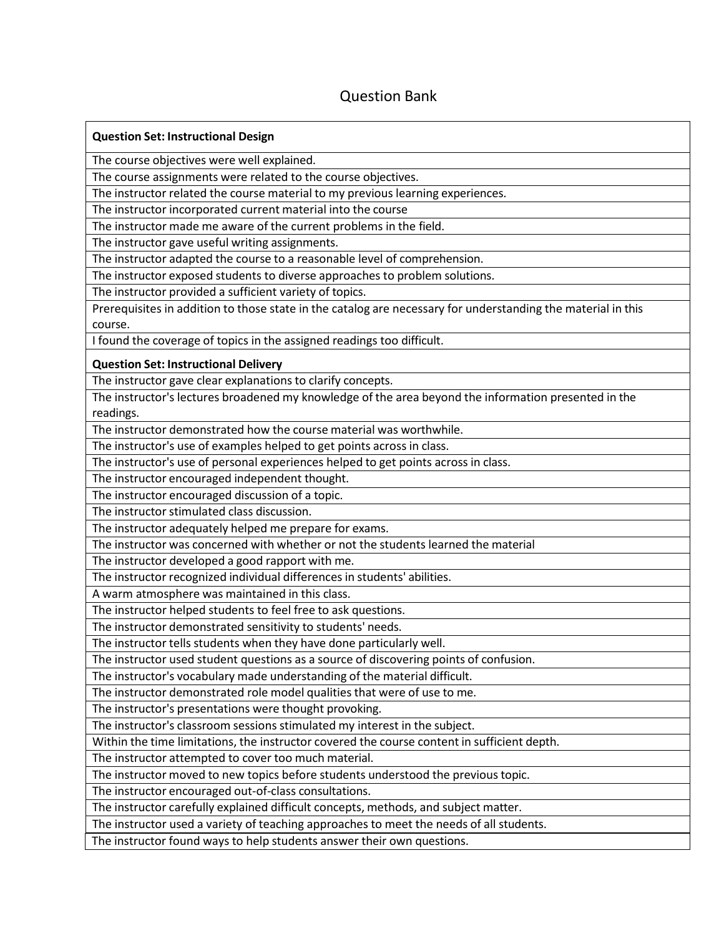# Question Bank

| <b>Question Set: Instructional Design</b>                                                                    |
|--------------------------------------------------------------------------------------------------------------|
| The course objectives were well explained.                                                                   |
| The course assignments were related to the course objectives.                                                |
| The instructor related the course material to my previous learning experiences.                              |
| The instructor incorporated current material into the course                                                 |
| The instructor made me aware of the current problems in the field.                                           |
| The instructor gave useful writing assignments.                                                              |
| The instructor adapted the course to a reasonable level of comprehension.                                    |
| The instructor exposed students to diverse approaches to problem solutions.                                  |
| The instructor provided a sufficient variety of topics.                                                      |
| Prerequisites in addition to those state in the catalog are necessary for understanding the material in this |
| course.                                                                                                      |
| I found the coverage of topics in the assigned readings too difficult.                                       |
| <b>Question Set: Instructional Delivery</b>                                                                  |
| The instructor gave clear explanations to clarify concepts.                                                  |
| The instructor's lectures broadened my knowledge of the area beyond the information presented in the         |
| readings.                                                                                                    |
| The instructor demonstrated how the course material was worthwhile.                                          |
| The instructor's use of examples helped to get points across in class.                                       |
| The instructor's use of personal experiences helped to get points across in class.                           |
| The instructor encouraged independent thought.                                                               |
| The instructor encouraged discussion of a topic.                                                             |
| The instructor stimulated class discussion.                                                                  |
| The instructor adequately helped me prepare for exams.                                                       |
| The instructor was concerned with whether or not the students learned the material                           |
| The instructor developed a good rapport with me.                                                             |
| The instructor recognized individual differences in students' abilities.                                     |
| A warm atmosphere was maintained in this class.                                                              |
| The instructor helped students to feel free to ask questions.                                                |
| The instructor demonstrated sensitivity to students' needs.                                                  |
| The instructor tells students when they have done particularly well.                                         |
| The instructor used student questions as a source of discovering points of confusion.                        |
| The instructor's vocabulary made understanding of the material difficult.                                    |
| The instructor demonstrated role model qualities that were of use to me.                                     |
| The instructor's presentations were thought provoking.                                                       |
| The instructor's classroom sessions stimulated my interest in the subject.                                   |
| Within the time limitations, the instructor covered the course content in sufficient depth.                  |
| The instructor attempted to cover too much material.                                                         |
| The instructor moved to new topics before students understood the previous topic.                            |
| The instructor encouraged out-of-class consultations.                                                        |
| The instructor carefully explained difficult concepts, methods, and subject matter.                          |
| The instructor used a variety of teaching approaches to meet the needs of all students.                      |

The instructor found ways to help students answer their own questions.